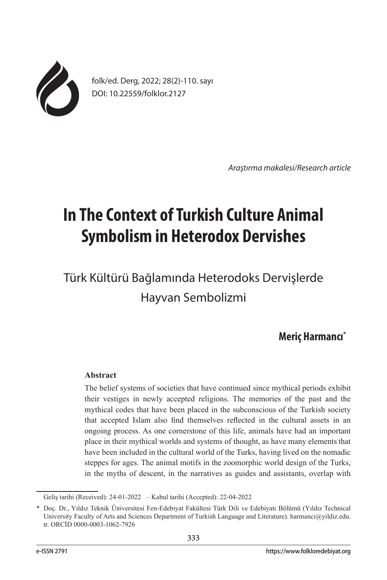

folk/ed. Derg, 2022; 28(2)-110. sayı DOI: 10.22559/folklor.2127

*Araştırma makalesi/Research article*

# **In The Context of Turkish Culture Animal Symbolism in Heterodox Dervishes**

Türk Kültürü Bağlamında Heterodoks Dervişlerde Hayvan Sembolizmi

# **Meriç Harmancı\***

## **Abstract**

The belief systems of societies that have continued since mythical periods exhibit their vestiges in newly accepted religions. The memories of the past and the mythical codes that have been placed in the subconscious of the Turkish society that accepted Islam also find themselves reflected in the cultural assets in an ongoing process. As one cornerstone of this life, animals have had an important place in their mythical worlds and systems of thought, as have many elements that have been included in the cultural world of the Turks, having lived on the nomadic steppes for ages. The animal motifs in the zoomorphic world design of the Turks, in the myths of descent, in the narratives as guides and assistants, overlap with

Geliş tarihi (Received): 24-01-2022 – Kabul tarihi (Accepted): 22-04-2022

<sup>\*</sup> Doç. Dr., Yıldız Teknik Üniversitesi Fen-Edebiyat Fakültesi Türk Dili ve Edebiyatı Bölümü (Yıldız Technical University Faculty of Arts and Sciences Department of Turkish Language and Literature). harmanci@yildiz.edu. tr. ORCİD 0000-0003-1062-7926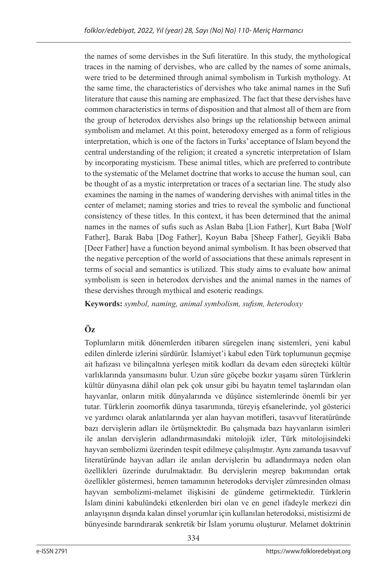the names of some dervishes in the Sufi literatüre. In this study, the mythological traces in the naming of dervishes, who are called by the names of some animals, were tried to be determined through animal symbolism in Turkish mythology. At the same time, the characteristics of dervishes who take animal names in the Sufi literature that cause this naming are emphasized. The fact that these dervishes have common characteristics in terms of disposition and that almost all of them are from the group of heterodox dervishes also brings up the relationship between animal symbolism and melamet. At this point, heterodoxy emerged as a form of religious interpretation, which is one of the factors in Turks' acceptance of Islam beyond the central understanding of the religion; it created a syncretic interpretation of Islam by incorporating mysticism. These animal titles, which are preferred to contribute to the systematic of the Melamet doctrine that works to accuse the human soul, can be thought of as a mystic interpretation or traces of a sectarian line. The study also examines the naming in the names of wandering dervishes with animal titles in the center of melamet; naming stories and tries to reveal the symbolic and functional consistency of these titles. In this context, it has been determined that the animal names in the names of sufis such as Aslan Baba [Lion Father], Kurt Baba [Wolf Father], Barak Baba [Dog Father], Koyun Baba [Sheep Father], Geyikli Baba [Deer Father] have a function beyond animal symbolism. It has been observed that the negative perception of the world of associations that these animals represent in terms of social and semantics is utilized. This study aims to evaluate how animal symbolism is seen in heterodox dervishes and the animal names in the names of these dervishes through mythical and esoteric readings.

**Keywords:** *symbol, naming, animal symbolism, sufism, heterodoxy*

# **Öz**

Toplumların mitik dönemlerden itibaren süregelen inanç sistemleri, yeni kabul edilen dinlerde izlerini sürdürür. İslamiyet'i kabul eden Türk toplumunun geçmişe ait hafızası ve bilinçaltına yerleşen mitik kodları da devam eden süreçteki kültür varlıklarında yansımasını bulur. Uzun süre göçebe bozkır yaşamı süren Türklerin kültür dünyasına dâhil olan pek çok unsur gibi bu hayatın temel taşlarından olan hayvanlar, onların mitik dünyalarında ve düşünce sistemlerinde önemli bir yer tutar. Türklerin zoomorfik dünya tasarımında, türeyiş efsanelerinde, yol gösterici ve yardımcı olarak anlatılarında yer alan hayvan motifleri, tasavvuf literatüründe bazı dervişlerin adları ile örtüşmektedir. Bu çalışmada bazı hayvanların isimleri ile anılan dervişlerin adlandırmasındaki mitolojik izler, Türk mitolojisindeki hayvan sembolizmi üzerinden tespit edilmeye çalışılmıştır. Aynı zamanda tasavvuf literatüründe hayvan adları ile anılan dervişlerin bu adlandırmaya neden olan özellikleri üzerinde durulmaktadır. Bu dervişlerin meşrep bakımından ortak özellikler göstermesi, hemen tamamının heterodoks dervişler zümresinden olması hayvan sembolizmi-melamet ilişkisini de gündeme getirmektedir. Türklerin İslam dinini kabulündeki etkenlerden biri olan ve en genel ifadeyle merkezi din anlayışının dışında kalan dinsel yorumlar için kullanılan heterodoksi, mistisizmi de bünyesinde barındırarak senkretik bir İslam yorumu oluşturur. Melamet doktrinin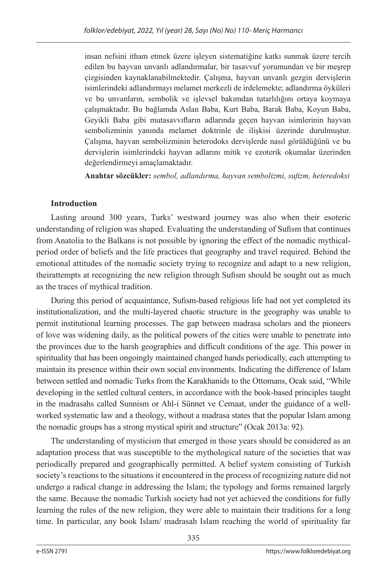insan nefsini itham etmek üzere işleyen sistematiğine katkı sunmak üzere tercih edilen bu hayvan unvanlı adlandırmalar, bir tasavvuf yorumundan ve bir meşrep çizgisinden kaynaklanabilmektedir. Çalışma, hayvan unvanlı gezgin dervişlerin isimlerindeki adlandırmayı melamet merkezli de irdelemekte; adlandırma öyküleri ve bu unvanların, sembolik ve işlevsel bakımdan tutarlılığını ortaya koymaya çalışmaktadır. Bu bağlamda Aslan Baba, Kurt Baba, Barak Baba, Koyun Baba, Geyikli Baba gibi mutasavvıfların adlarında geçen hayvan isimlerinin hayvan sembolizminin yanında melamet doktrinle de ilişkisi üzerinde durulmuştur. Çalışma, hayvan sembolizminin heterodoks dervişlerde nasıl görüldüğünü ve bu dervişlerin isimlerindeki hayvan adlarını mitik ve ezoterik okumalar üzerinden değerlendirmeyi amaçlamaktadır.

**Anahtar sözcükler:** *sembol, adlandırma, hayvan sembolizmi, sufizm, heteredoksi*

# **Introduction**

Lasting around 300 years, Turks' westward journey was also when their esoteric understanding of religion was shaped. Evaluating the understanding of Sufism that continues from Anatolia to the Balkans is not possible by ignoring the effect of the nomadic mythicalperiod order of beliefs and the life practices that geography and travel required. Behind the emotional attitudes of the nomadic society trying to recognize and adapt to a new religion, theirattempts at recognizing the new religion through Sufism should be sought out as much as the traces of mythical tradition.

During this period of acquaintance, Sufism-based religious life had not yet completed its institutionalization, and the multi-layered chaotic structure in the geography was unable to permit institutional learning processes. The gap between madrasa scholars and the pioneers of love was widening daily, as the political powers of the cities were unable to penetrate into the provinces due to the harsh geographies and difficult conditions of the age. This power in spirituality that has been ongoingly maintained changed hands periodically, each attempting to maintain its presence within their own social environments. Indicating the difference of Islam between settled and nomadic Turks from the Karakhanids to the Ottomans, Ocak said, "While developing in the settled cultural centers, in accordance with the book-based principles taught in the madrasahs called Sunnism or Ahl-i Sünnet ve Cemaat, under the guidance of a wellworked systematic law and a theology, without a madrasa states that the popular Islam among the nomadic groups has a strong mystical spirit and structure" (Ocak 2013a: 92).

The understanding of mysticism that emerged in those years should be considered as an adaptation process that was susceptible to the mythological nature of the societies that was periodically prepared and geographically permitted. A belief system consisting of Turkish society's reactions to the situations it encountered in the process of recognizing nature did not undergo a radical change in addressing the Islam; the typology and forms remained largely the same. Because the nomadic Turkish society had not yet achieved the conditions for fully learning the rules of the new religion, they were able to maintain their traditions for a long time. In particular, any book Islam/ madrasah Islam reaching the world of spirituality far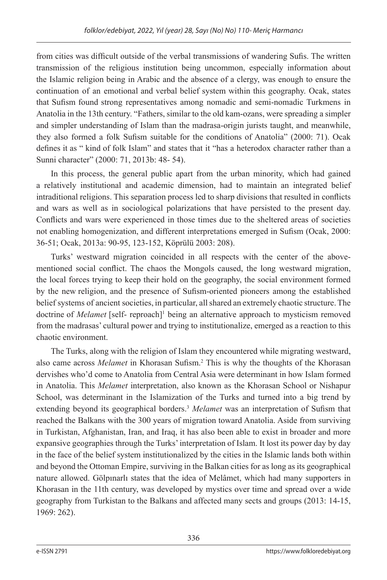from cities was difficult outside of the verbal transmissions of wandering Sufis. The written transmission of the religious institution being uncommon, especially information about the Islamic religion being in Arabic and the absence of a clergy, was enough to ensure the continuation of an emotional and verbal belief system within this geography. Ocak, states that Sufism found strong representatives among nomadic and semi-nomadic Turkmens in Anatolia in the 13th century. "Fathers, similar to the old kam-ozans, were spreading a simpler and simpler understanding of Islam than the madrasa-origin jurists taught, and meanwhile, they also formed a folk Sufism suitable for the conditions of Anatolia" (2000: 71). Ocak defines it as " kind of folk Islam" and states that it "has a heterodox character rather than a Sunni character" (2000: 71, 2013b: 48- 54).

In this process, the general public apart from the urban minority, which had gained a relatively institutional and academic dimension, had to maintain an integrated belief intraditional religions. This separation process led to sharp divisions that resulted in conflicts and wars as well as in sociological polarizations that have persisted to the present day. Conflicts and wars were experienced in those times due to the sheltered areas of societies not enabling homogenization, and different interpretations emerged in Sufism (Ocak, 2000: 36-51; Ocak, 2013a: 90-95, 123-152, Köprülü 2003: 208).

Turks' westward migration coincided in all respects with the center of the abovementioned social conflict. The chaos the Mongols caused, the long westward migration, the local forces trying to keep their hold on the geography, the social environment formed by the new religion, and the presence of Sufism-oriented pioneers among the established belief systems of ancient societies, in particular, all shared an extremely chaotic structure. The doctrine of *Melamet* [self- reproach]<sup>1</sup> being an alternative approach to mysticism removed from the madrasas' cultural power and trying to institutionalize, emerged as a reaction to this chaotic environment.

The Turks, along with the religion of Islam they encountered while migrating westward, also came across *Melamet* in Khorasan Sufism.2 This is why the thoughts of the Khorasan dervishes who'd come to Anatolia from Central Asia were determinant in how Islam formed in Anatolia. This *Melamet* interpretation, also known as the Khorasan School or Nishapur School, was determinant in the Islamization of the Turks and turned into a big trend by extending beyond its geographical borders.3 *Melamet* was an interpretation of Sufism that reached the Balkans with the 300 years of migration toward Anatolia. Aside from surviving in Turkistan, Afghanistan, Iran, and Iraq, it has also been able to exist in broader and more expansive geographies through the Turks' interpretation of Islam. It lost its power day by day in the face of the belief system institutionalized by the cities in the Islamic lands both within and beyond the Ottoman Empire, surviving in the Balkan cities for as long as its geographical nature allowed. Gölpınarlı states that the idea of Melâmet, which had many supporters in Khorasan in the 11th century, was developed by mystics over time and spread over a wide geography from Turkistan to the Balkans and affected many sects and groups (2013: 14-15, 1969: 262).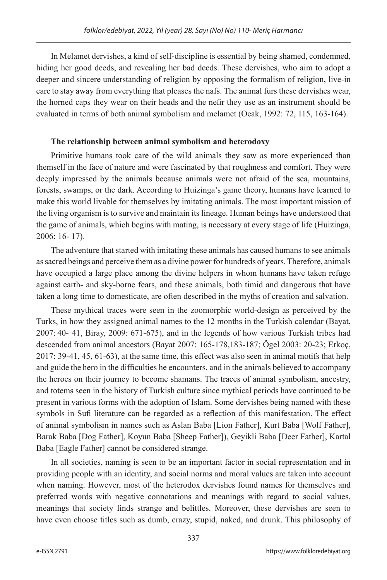In Melamet dervishes, a kind of self-discipline is essential by being shamed, condemned, hiding her good deeds, and revealing her bad deeds. These dervishes, who aim to adopt a deeper and sincere understanding of religion by opposing the formalism of religion, live-in care to stay away from everything that pleases the nafs. The animal furs these dervishes wear, the horned caps they wear on their heads and the nefir they use as an instrument should be evaluated in terms of both animal symbolism and melamet (Ocak, 1992: 72, 115, 163-164).

# **The relationship between animal symbolism and heterodoxy**

Primitive humans took care of the wild animals they saw as more experienced than themself in the face of nature and were fascinated by that roughness and comfort. They were deeply impressed by the animals because animals were not afraid of the sea, mountains, forests, swamps, or the dark. According to Huizinga's game theory, humans have learned to make this world livable for themselves by imitating animals. The most important mission of the living organism is to survive and maintain its lineage. Human beings have understood that the game of animals, which begins with mating, is necessary at every stage of life (Huizinga, 2006: 16- 17).

The adventure that started with imitating these animals has caused humans to see animals as sacred beings and perceive them as a divine power for hundreds of years. Therefore, animals have occupied a large place among the divine helpers in whom humans have taken refuge against earth- and sky-borne fears, and these animals, both timid and dangerous that have taken a long time to domesticate, are often described in the myths of creation and salvation.

These mythical traces were seen in the zoomorphic world-design as perceived by the Turks, in how they assigned animal names to the 12 months in the Turkish calendar (Bayat, 2007: 40- 41, Biray, 2009: 671-675), and in the legends of how various Turkish tribes had descended from animal ancestors (Bayat 2007: 165-178,183-187; Ögel 2003: 20-23; Erkoç, 2017: 39-41, 45, 61-63), at the same time, this effect was also seen in animal motifs that help and guide the hero in the difficulties he encounters, and in the animals believed to accompany the heroes on their journey to become shamans. The traces of animal symbolism, ancestry, and totems seen in the history of Turkish culture since mythical periods have continued to be present in various forms with the adoption of Islam. Some dervishes being named with these symbols in Sufi literature can be regarded as a reflection of this manifestation. The effect of animal symbolism in names such as Aslan Baba [Lion Father], Kurt Baba [Wolf Father], Barak Baba [Dog Father], Koyun Baba [Sheep Father]), Geyikli Baba [Deer Father], Kartal Baba [Eagle Father] cannot be considered strange.

In all societies, naming is seen to be an important factor in social representation and in providing people with an identity, and social norms and moral values are taken into account when naming. However, most of the heterodox dervishes found names for themselves and preferred words with negative connotations and meanings with regard to social values, meanings that society finds strange and belittles. Moreover, these dervishes are seen to have even choose titles such as dumb, crazy, stupid, naked, and drunk. This philosophy of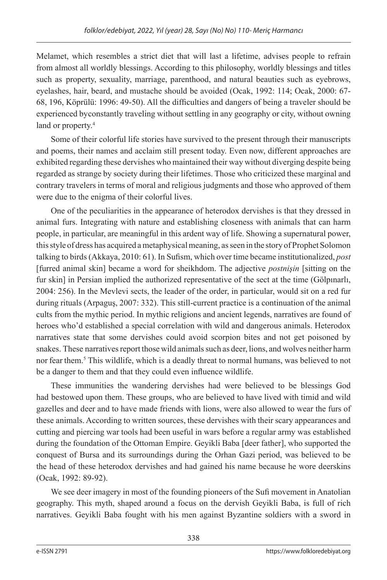Melamet, which resembles a strict diet that will last a lifetime, advises people to refrain from almost all worldly blessings. According to this philosophy, worldly blessings and titles such as property, sexuality, marriage, parenthood, and natural beauties such as eyebrows, eyelashes, hair, beard, and mustache should be avoided (Ocak, 1992: 114; Ocak, 2000: 67- 68, 196, Köprülü: 1996: 49-50). All the difficulties and dangers of being a traveler should be experienced by constantly traveling without settling in any geography or city, without owning land or property.<sup>4</sup>

Some of their colorful life stories have survived to the present through their manuscripts and poems, their names and acclaim still present today. Even now, different approaches are exhibited regarding these dervishes who maintained their way without diverging despite being regarded as strange by society during their lifetimes. Those who criticized these marginal and contrary travelers in terms of moral and religious judgments and those who approved of them were due to the enigma of their colorful lives.

One of the peculiarities in the appearance of heterodox dervishes is that they dressed in animal furs. Integrating with nature and establishing closeness with animals that can harm people, in particular, are meaningful in this ardent way of life. Showing a supernatural power, this style of dress has acquired a metaphysical meaning, as seen in the story of Prophet Solomon talking to birds (Akkaya, 2010: 61). In Sufism, which over time became institutionalized, *post*  [furred animal skin] became a word for sheikhdom. The adjective *postnişin* [sitting on the fur skin] in Persian implied the authorized representative of the sect at the time (Gölpınarlı, 2004: 256). In the Mevlevi sects, the leader of the order, in particular, would sit on a red fur during rituals (Arpaguş, 2007: 332). This still-current practice is a continuation of the animal cults from the mythic period. In mythic religions and ancient legends, narratives are found of heroes who'd established a special correlation with wild and dangerous animals. Heterodox narratives state that some dervishes could avoid scorpion bites and not get poisoned by snakes. These narratives report those wild animals such as deer, lions, and wolves neither harm nor fear them.5 This wildlife, which is a deadly threat to normal humans, was believed to not be a danger to them and that they could even influence wildlife.

These immunities the wandering dervishes had were believed to be blessings God had bestowed upon them. These groups, who are believed to have lived with timid and wild gazelles and deer and to have made friends with lions, were also allowed to wear the furs of these animals. According to written sources, these dervishes with their scary appearances and cutting and piercing war tools had been useful in wars before a regular army was established during the foundation of the Ottoman Empire. Geyikli Baba [deer father], who supported the conquest of Bursa and its surroundings during the Orhan Gazi period, was believed to be the head of these heterodox dervishes and had gained his name because he wore deerskins (Ocak, 1992: 89-92).

We see deer imagery in most of the founding pioneers of the Sufi movement in Anatolian geography. This myth, shaped around a focus on the dervish Geyikli Baba, is full of rich narratives. Geyikli Baba fought with his men against Byzantine soldiers with a sword in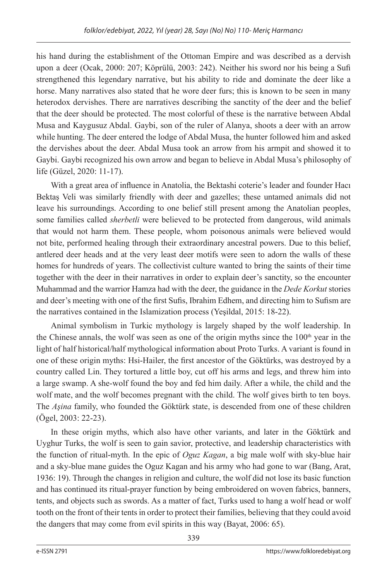his hand during the establishment of the Ottoman Empire and was described as a dervish upon a deer (Ocak, 2000: 207; Köprülü, 2003: 242). Neither his sword nor his being a Sufi strengthened this legendary narrative, but his ability to ride and dominate the deer like a horse. Many narratives also stated that he wore deer furs; this is known to be seen in many heterodox dervishes. There are narratives describing the sanctity of the deer and the belief that the deer should be protected. The most colorful of these is the narrative between Abdal Musa and Kaygusuz Abdal. Gaybi, son of the ruler of Alanya, shoots a deer with an arrow while hunting. The deer entered the lodge of Abdal Musa, the hunter followed him and asked the dervishes about the deer. Abdal Musa took an arrow from his armpit and showed it to Gaybi. Gaybi recognized his own arrow and began to believe in Abdal Musa's philosophy of life (Güzel, 2020: 11-17).

With a great area of influence in Anatolia, the Bektashi coterie's leader and founder Hacı Bektaş Veli was similarly friendly with deer and gazelles; these untamed animals did not leave his surroundings. According to one belief still present among the Anatolian peoples, some families called *sherbetli* were believed to be protected from dangerous, wild animals that would not harm them. These people, whom poisonous animals were believed would not bite, performed healing through their extraordinary ancestral powers. Due to this belief, antlered deer heads and at the very least deer motifs were seen to adorn the walls of these homes for hundreds of years. The collectivist culture wanted to bring the saints of their time together with the deer in their narratives in order to explain deer's sanctity, so the encounter Muhammad and the warrior Hamza had with the deer, the guidance in the *Dede Korkut* stories and deer's meeting with one of the first Sufis, Ibrahim Edhem, and directing him to Sufism are the narratives contained in the Islamization process (Yeşildal, 2015: 18-22).

Animal symbolism in Turkic mythology is largely shaped by the wolf leadership. In the Chinese annals, the wolf was seen as one of the origin myths since the  $100<sup>th</sup>$  year in the light of half historical/half mythological information about Proto Turks. A variant is found in one of these origin myths: Hsi-Hailer, the first ancestor of the Göktürks, was destroyed by a country called Lin. They tortured a little boy, cut off his arms and legs, and threw him into a large swamp. A she-wolf found the boy and fed him daily. After a while, the child and the wolf mate, and the wolf becomes pregnant with the child. The wolf gives birth to ten boys. The *Aşina* family, who founded the Göktürk state, is descended from one of these children (Ögel, 2003: 22-23).

In these origin myths, which also have other variants, and later in the Göktürk and Uyghur Turks, the wolf is seen to gain savior, protective, and leadership characteristics with the function of ritual-myth. In the epic of *Oguz Kagan*, a big male wolf with sky-blue hair and a sky-blue mane guides the Oguz Kagan and his army who had gone to war (Bang, Arat, 1936: 19). Through the changes in religion and culture, the wolf did not lose its basic function and has continued its ritual-prayer function by being embroidered on woven fabrics, banners, tents, and objects such as swords. As a matter of fact, Turks used to hang a wolf head or wolf tooth on the front of their tents in order to protect their families, believing that they could avoid the dangers that may come from evil spirits in this way (Bayat, 2006: 65).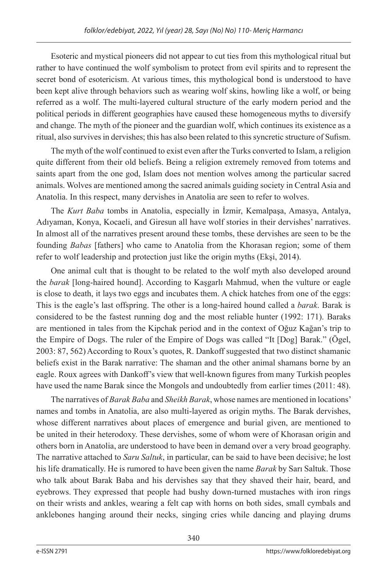Esoteric and mystical pioneers did not appear to cut ties from this mythological ritual but rather to have continued the wolf symbolism to protect from evil spirits and to represent the secret bond of esotericism. At various times, this mythological bond is understood to have been kept alive through behaviors such as wearing wolf skins, howling like a wolf, or being referred as a wolf. The multi-layered cultural structure of the early modern period and the political periods in different geographies have caused these homogeneous myths to diversify and change. The myth of the pioneer and the guardian wolf, which continues its existence as a ritual, also survives in dervishes; this has also been related to this syncretic structure of Sufism.

The myth of the wolf continued to exist even after the Turks converted to Islam, a religion quite different from their old beliefs. Being a religion extremely removed from totems and saints apart from the one god, Islam does not mention wolves among the particular sacred animals. Wolves are mentioned among the sacred animals guiding society in Central Asia and Anatolia. In this respect, many dervishes in Anatolia are seen to refer to wolves.

The *Kurt Baba* tombs in Anatolia, especially in İzmir, Kemalpaşa, Amasya, Antalya, Adıyaman, Konya, Kocaeli, and Giresun all have wolf stories in their dervishes' narratives. In almost all of the narratives present around these tombs, these dervishes are seen to be the founding *Babas* [fathers] who came to Anatolia from the Khorasan region; some of them refer to wolf leadership and protection just like the origin myths (Ekşi, 2014).

One animal cult that is thought to be related to the wolf myth also developed around the *barak* [long-haired hound]. According to Kaşgarlı Mahmud, when the vulture or eagle is close to death, it lays two eggs and incubates them. A chick hatches from one of the eggs: This is the eagle's last offspring. The other is a long-haired hound called a *barak*. Barak is considered to be the fastest running dog and the most reliable hunter (1992: 171). Baraks are mentioned in tales from the Kipchak period and in the context of Oğuz Kağan's trip to the Empire of Dogs. The ruler of the Empire of Dogs was called "It [Dog] Barak." (Ögel, 2003: 87, 562) According to Roux's quotes, R. Dankoff suggested that two distinct shamanic beliefs exist in the Barak narrative: The shaman and the other animal shamans borne by an eagle. Roux agrees with Dankoff's view that well-known figures from many Turkish peoples have used the name Barak since the Mongols and undoubtedly from earlier times (2011: 48).

The narratives of *Barak Baba* and *Sheikh Barak*, whose names are mentioned in locations' names and tombs in Anatolia, are also multi-layered as origin myths. The Barak dervishes, whose different narratives about places of emergence and burial given, are mentioned to be united in their heterodoxy. These dervishes, some of whom were of Khorasan origin and others born in Anatolia, are understood to have been in demand over a very broad geography. The narrative attached to *Saru Saltuk*, in particular, can be said to have been decisive; he lost his life dramatically. He is rumored to have been given the name *Barak* by Sarı Saltuk. Those who talk about Barak Baba and his dervishes say that they shaved their hair, beard, and eyebrows. They expressed that people had bushy down-turned mustaches with iron rings on their wrists and ankles, wearing a felt cap with horns on both sides, small cymbals and anklebones hanging around their necks, singing cries while dancing and playing drums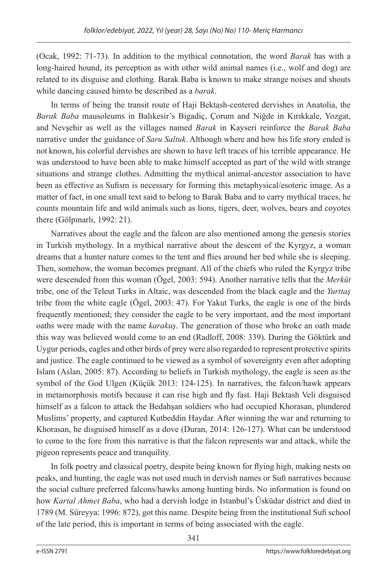(Ocak, 1992: 71-73). In addition to the mythical connotation, the word *Barak* has with a long-haired hound, its perception as with other wild animal names (i.e., wolf and dog) are related to its disguise and clothing. Barak Baba is known to make strange noises and shouts while dancing caused him to be described as a *barak*.

In terms of being the transit route of Haji Bektash-centered dervishes in Anatolia, the *Barak Baba* mausoleums in Balıkesir's Bigadiç, Çorum and Niğde in Kırıkkale, Yozgat, and Nevşehir as well as the villages named *Barak* in Kayseri reinforce the *Barak Baba*  narrative under the guidance of *Saru Saltuk*. Although where and how his life story ended is not known, his colorful dervishes are shown to have left traces of his terrible appearance. He was understood to have been able to make himself accepted as part of the wild with strange situations and strange clothes. Admitting the mythical animal-ancestor association to have been as effective as Sufism is necessary for forming this metaphysical/esoteric image. As a matter of fact, in one small text said to belong to Barak Baba and to carry mythical traces, he counts mountain life and wild animals such as lions, tigers, deer, wolves, bears and coyotes there (Gölpınarlı, 1992: 21).

Narratives about the eagle and the falcon are also mentioned among the genesis stories in Turkish mythology. In a mythical narrative about the descent of the Kyrgyz, a woman dreams that a hunter nature comes to the tent and flies around her bed while she is sleeping. Then, somehow, the woman becomes pregnant. All of the chiefs who ruled the Kyrgyz tribe were descended from this woman (Ögel, 2003: 594). Another narrative tells that the *Merküt*  tribe, one of the Teleut Turks in Altaic, was descended from the black eagle and the *Yurttaş*  tribe from the white eagle (Ögel, 2003: 47). For Yakut Turks, the eagle is one of the birds frequently mentioned; they consider the eagle to be very important, and the most important oaths were made with the name *karakuş*. The generation of those who broke an oath made this way was believed would come to an end (Radloff, 2008: 339). During the Göktürk and Uygur periods, eagles and other birds of prey were also regarded to represent protective spirits and justice. The eagle continued to be viewed as a symbol of sovereignty even after adopting Islam (Aslan, 2005: 87). According to beliefs in Turkish mythology, the eagle is seen as the symbol of the God Ulgen (Küçük 2013: 124-125). In narratives, the falcon/hawk appears in metamorphosis motifs because it can rise high and fly fast. Haji Bektash Veli disguised himself as a falcon to attack the Bedahşan soldiers who had occupied Khorasan, plundered Muslims' property, and captured Kutbeddin Haydar. After winning the war and returning to Khorasan, he disguised himself as a dove (Duran, 2014: 126-127). What can be understood to come to the fore from this narrative is that the falcon represents war and attack, while the pigeon represents peace and tranquility.

In folk poetry and classical poetry, despite being known for flying high, making nests on peaks, and hunting, the eagle was not used much in dervish names or Sufi narratives because the social culture preferred falcons/hawks among hunting birds. No information is found on how *Kartal Ahmet Baba*, who had a dervish lodge in Istanbul's Üsküdar district and died in 1789 (M. Süreyya: 1996: 872), got this name. Despite being from the institutional Sufi school of the late period, this is important in terms of being associated with the eagle.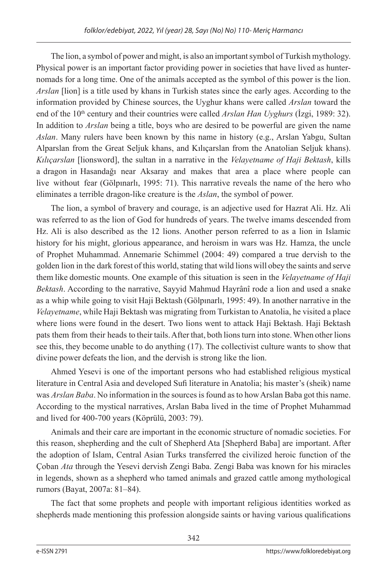The lion, a symbol of power and might, is also an important symbol of Turkish mythology. Physical power is an important factor providing power in societies that have lived as hunternomads for a long time. One of the animals accepted as the symbol of this power is the lion. *Arslan* [lion] is a title used by khans in Turkish states since the early ages. According to the information provided by Chinese sources, the Uyghur khans were called *Arslan* toward the end of the 10<sup>th</sup> century and their countries were called *Arslan Han Uyghurs* (İzgi, 1989: 32). In addition to *Arslan* being a title, boys who are desired to be powerful are given the name *Aslan*. Many rulers have been known by this name in history (e.g., Arslan Yabgu, Sultan Alparslan from the Great Seljuk khans, and Kılıçarslan from the Anatolian Seljuk khans). *Kılıçarslan* [lionsword], the sultan in a narrative in the *Velayetname of Haji Bektash*, kills a dragon in Hasandağı near Aksaray and makes that area a place where people can live without fear (Gölpınarlı, 1995: 71). This narrative reveals the name of the hero who eliminates a terrible dragon-like creature is the *Aslan*, the symbol of power.

The lion, a symbol of bravery and courage, is an adjective used for Hazrat Ali. Hz. Ali was referred to as the lion of God for hundreds of years. The twelve imams descended from Hz. Ali is also described as the 12 lions. Another person referred to as a lion in Islamic history for his might, glorious appearance, and heroism in wars was Hz. Hamza, the uncle of Prophet Muhammad. Annemarie Schimmel (2004: 49) compared a true dervish to the golden lion in the dark forest of this world, stating that wild lions will obey the saints and serve them like domestic mounts. One example of this situation is seen in the *Velayetname of Haji Bektash*. According to the narrative, Sayyid Mahmud Hayrânî rode a lion and used a snake as a whip while going to visit Haji Bektash (Gölpınarlı, 1995: 49). In another narrative in the *Velayetname*, while Haji Bektash was migrating from Turkistan to Anatolia, he visited a place where lions were found in the desert. Two lions went to attack Haji Bektash. Haji Bektash pats them from their heads to their tails. After that, both lions turn into stone. When other lions see this, they become unable to do anything (17). The collectivist culture wants to show that divine power defeats the lion, and the dervish is strong like the lion.

Ahmed Yesevi is one of the important persons who had established religious mystical literature in Central Asia and developed Sufi literature in Anatolia; his master's (sheik) name was *Arslan Baba*. No information in the sources is found as to how Arslan Baba got this name. According to the mystical narratives, Arslan Baba lived in the time of Prophet Muhammad and lived for 400-700 years (Köprülü, 2003: 79).

Animals and their care are important in the economic structure of nomadic societies. For this reason, shepherding and the cult of Shepherd Ata [Shepherd Baba] are important. After the adoption of Islam, Central Asian Turks transferred the civilized heroic function of the Çoban *Ata* through the Yesevi dervish Zengi Baba. Zengi Baba was known for his miracles in legends, shown as a shepherd who tamed animals and grazed cattle among mythological rumors (Bayat, 2007a: 81–84).

The fact that some prophets and people with important religious identities worked as shepherds made mentioning this profession alongside saints or having various qualifications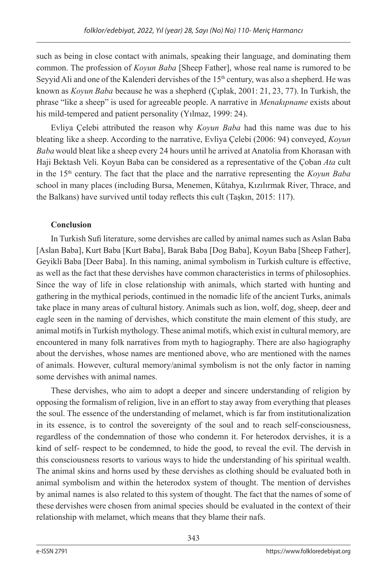such as being in close contact with animals, speaking their language, and dominating them common. The profession of *Koyun Baba* [Sheep Father], whose real name is rumored to be Seyyid Ali and one of the Kalenderi dervishes of the  $15<sup>th</sup>$  century, was also a shepherd. He was known as *Koyun Baba* because he was a shepherd (Çıplak, 2001: 21, 23, 77). In Turkish, the phrase "like a sheep" is used for agreeable people. A narrative in *Menakıpname* exists about his mild-tempered and patient personality (Yılmaz, 1999: 24).

Evliya Çelebi attributed the reason why *Koyun Baba* had this name was due to his bleating like a sheep. According to the narrative, Evliya Çelebi (2006: 94) conveyed, *Koyun Baba* would bleat like a sheep every 24 hours until he arrived at Anatolia from Khorasan with Haji Bektash Veli. Koyun Baba can be considered as a representative of the Çoban *Ata* cult in the 15th century. The fact that the place and the narrative representing the *Koyun Baba*  school in many places (including Bursa, Menemen, Kütahya, Kızılırmak River, Thrace, and the Balkans) have survived until today reflects this cult (Taşkın, 2015: 117).

# **Conclusion**

In Turkish Sufi literature, some dervishes are called by animal names such as Aslan Baba [Aslan Baba], Kurt Baba [Kurt Baba], Barak Baba [Dog Baba], Koyun Baba [Sheep Father], Geyikli Baba [Deer Baba]. In this naming, animal symbolism in Turkish culture is effective, as well as the fact that these dervishes have common characteristics in terms of philosophies. Since the way of life in close relationship with animals, which started with hunting and gathering in the mythical periods, continued in the nomadic life of the ancient Turks, animals take place in many areas of cultural history. Animals such as lion, wolf, dog, sheep, deer and eagle seen in the naming of dervishes, which constitute the main element of this study, are animal motifs in Turkish mythology. These animal motifs, which exist in cultural memory, are encountered in many folk narratives from myth to hagiography. There are also hagiography about the dervishes, whose names are mentioned above, who are mentioned with the names of animals. However, cultural memory/animal symbolism is not the only factor in naming some dervishes with animal names.

These dervishes, who aim to adopt a deeper and sincere understanding of religion by opposing the formalism of religion, live in an effort to stay away from everything that pleases the soul. The essence of the understanding of melamet, which is far from institutionalization in its essence, is to control the sovereignty of the soul and to reach self-consciousness, regardless of the condemnation of those who condemn it. For heterodox dervishes, it is a kind of self- respect to be condemned, to hide the good, to reveal the evil. The dervish in this consciousness resorts to various ways to hide the understanding of his spiritual wealth. The animal skins and horns used by these dervishes as clothing should be evaluated both in animal symbolism and within the heterodox system of thought. The mention of dervishes by animal names is also related to this system of thought. The fact that the names of some of these dervishes were chosen from animal species should be evaluated in the context of their relationship with melamet, which means that they blame their nafs.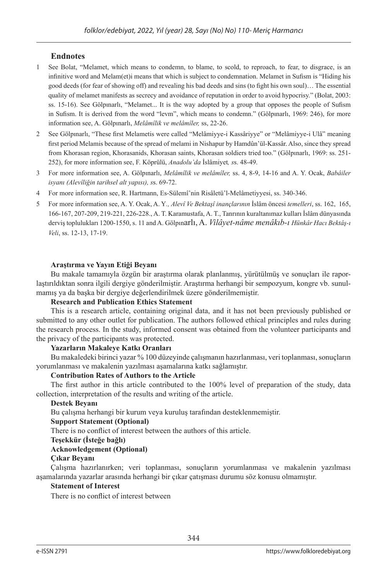## **Endnotes**

- 1 See Bolat, "Melamet, which means to condemn, to blame, to scold, to reproach, to fear, to disgrace, is an infinitive word and Melam(et)i means that which is subject to condemnation. Melamet in Sufism is "Hiding his good deeds (for fear of showing off) and revealing his bad deeds and sins (to fight his own soul)… The essential quality of melamet manifests as secrecy and avoidance of reputation in order to avoid hypocrisy." (Bolat, 2003: ss. 15-16). See Gölpınarlı, "Melamet... It is the way adopted by a group that opposes the people of Sufism in Sufism. It is derived from the word "levm", which means to condemn." (Gölpınarlı, 1969: 246), for more information see, A. Gölpınarlı, *Melâmîlik ve melâmîler,* ss, 22-26.
- 2 See Gölpınarlı, "These first Melametis were called "Melâmiyye-i Kassâriyye" or "Melâmiyye-i Ulâ" meaning first period Melamis because of the spread of melami in Nishapur by Hamdûn'ül-Kassâr. Also, since they spread from Khorasan region, Khorasanids, Khorasan saints, Khorasan soldiers tried too." (Gölpınarlı, 1969: ss. 251- 252), for more information see, F. Köprülü, *Anadolu'da* İslâmiyet*, s*s. 48-49.
- 3 For more information see, A. Gölpınarlı, *Melâmîlik ve melâmîler,* ss. 4, 8-9, 14-16 and A. Y. Ocak, *Babâiler isyanı (Alevîliğin tarihsel alt yapısı), s*s. 69-72.
- 4 For more information see, R. Hartmann, Es-Sülemî'nin Risâletü'l-Melâmetiyyesi, ss. 340-346.
- 5 For more information see, A. Y. Ocak, A. Y*., Alevî Ve Bektaşî inançlarının* İslâm öncesi *temelleri*, ss. 162, 165, 166-167, 207-209, 219-221, 226-228., A. T. Karamustafa, A. T., Tanrının kuraltanımaz kulları İslâm dünyasında derviş toplulukları 1200-1550, s. 11 and A. Gölpınarlı, A. *Vilâyet-nâme menâkıb-ı Hünkâr Hacı Bektâş-ı Veli*, ss. 12-13, 17-19.

#### **Araştırma ve Yayın Etiği Beyanı**

Bu makale tamamıyla özgün bir araştırma olarak planlanmış, yürütülmüş ve sonuçları ile raporlaştırıldıktan sonra ilgili dergiye gönderilmiştir. Araştırma herhangi bir sempozyum, kongre vb. sunulmamış ya da başka bir dergiye değerlendirilmek üzere gönderilmemiştir.

#### **Research and Publication Ethics Statement**

This is a research article, containing original data, and it has not been previously published or submitted to any other outlet for publication. The authors followed ethical principles and rules during the research process. In the study, informed consent was obtained from the volunteer participants and the privacy of the participants was protected.

#### **Yazarların Makaleye Katkı Oranları**

Bu makaledeki birinci yazar % 100 düzeyinde çalışmanın hazırlanması, veri toplanması, sonuçların yorumlanması ve makalenin yazılması aşamalarına katkı sağlamıştır.

#### **Contribution Rates of Authors to the Article**

The first author in this article contributed to the 100% level of preparation of the study, data collection, interpretation of the results and writing of the article.

#### **Destek Beyanı**

Bu çalışma herhangi bir kurum veya kuruluş tarafından desteklenmemiştir.

#### **Support Statement (Optional)**

There is no conflict of interest between the authors of this article.

#### **Teşekkür (İsteğe bağlı)**

#### **Acknowledgement (Optional)**

#### **Çıkar Beyanı**

Çalışma hazırlanırken; veri toplanması, sonuçların yorumlanması ve makalenin yazılması aşamalarında yazarlar arasında herhangi bir çıkar çatışması durumu söz konusu olmamıştır.

#### **Statement of Interest**

There is no conflict of interest between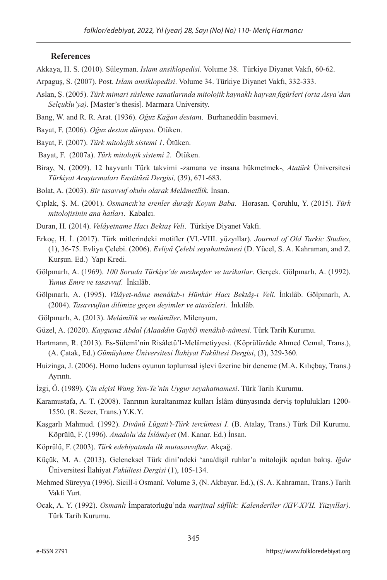#### **References**

- Akkaya, H. S. (2010). Süleyman. *Islam ansiklopedisi*. Volume 38. Türkiye Diyanet Vakfı, 60-62.
- Arpaguş, S. (2007). Post. *Islam ansiklopedisi*. Volume 34. Türkiye Diyanet Vakfı, 332-333.
- Aslan, Ş. (2005). *Türk mimari süsleme sanatlarında mitolojik kaynaklı hayvan figürleri (orta Asya'dan Selçuklu'ya)*. [Master's thesis]. Marmara University.
- Bang, W. and R. R. Arat. (1936). *Oğuz Kağan destan*ı. Burhaneddin basımevi.
- Bayat, F. (2006). *Oğuz destan dünyası.* Ötüken.
- Bayat, F. (2007). *Türk mitolojik sistemi 1*. Ötüken.
- Bayat, F. (2007a). *Türk mitolojik sistemi 2*. Ötüken.
- Biray, N. (2009). 12 hayvanlı Türk takvimi -zamana ve insana hükmetmek-, *Atatürk* Üniversitesi *Türkiyat Araştırmaları Enstitüsü Dergisi,* (39), 671-683.
- Bolat, A. (2003). *Bir tasavvuf okulu olarak Melâmetîlik.* İnsan.
- Çıplak, Ş. M. (2001). *Osmancık'ta erenler durağı Koyun Baba*. Horasan. Çoruhlu, Y. (2015). *Türk mitolojisinin ana hatları*. Kabalcı.
- Duran, H. (2014). *Velâyetname Hacı Bektaş Veli*. Türkiye Diyanet Vakfı.
- Erkoç, H. İ. (2017). Türk mitlerindeki motifler (VI.-VIII. yüzyıllar). *Journal of Old Turkic Studies*, (1), 36-75. Evliya Çelebi. (2006). *Evliyâ Çelebi seyahatnâmesi* (D. Yücel, S. A. Kahraman, and Z. Kurşun. Ed.) Yapı Kredi.
- Gölpınarlı, A. (1969). *100 Soruda Türkiye'de mezhepler ve tarikatlar*. Gerçek. Gölpınarlı, A. (1992). *Yunus Emre ve tasavvuf*. İnkılâb.
- Gölpınarlı, A. (1995). *Vilâyet-nâme menâkıb-ı Hünkâr Hacı Bektâş-ı Veli*. İnkılâb. Gölpınarlı, A. (2004). *Tasavvuftan dilimize geçen deyimler ve atasözleri*. İnkılâb.
- Gölpınarlı, A. (2013). *Melâmîlik ve melâmîler*. Milenyum.
- Güzel, A. (2020). *Kaygusuz Abdal (Alaaddin Gaybî) menâkıb-nâmesi*. Türk Tarih Kurumu.
- Hartmann, R. (2013). Es-Sülemî'nin Risâletü'l-Melâmetiyyesi. (Köprülüzâde Ahmed Cemal, Trans.), (A. Çatak, Ed.) *Gümüşhane Üniversitesi İlahiyat Fakültesi Dergisi*, (3), 329-360.
- Huizinga, J. (2006). Homo ludens oyunun toplumsal işlevi üzerine bir deneme (M.A. Kılıçbay, Trans.) Ayrıntı.
- İzgi, Ö. (1989). *Çin elçisi Wang Yen-Te'nin Uygur seyahatnamesi*. Türk Tarih Kurumu.
- Karamustafa, A. T. (2008). Tanrının kuraltanımaz kulları İslâm dünyasında derviş toplulukları 1200- 1550. (R. Sezer, Trans.) Y.K.Y.
- Kaşgarlı Mahmud. (1992). *Divânü Lügati't-Türk tercümesi I*. (B. Atalay, Trans.) Türk Dil Kurumu. Köprülü, F. (1996). *Anadolu'da İslâmiyet* (M. Kanar. Ed.) İnsan.
- Köprülü, F. (2003). *Türk edebiyatında ilk mutasavvıflar*. Akçağ.
- Küçük, M. A. (2013). Geleneksel Türk dini'ndeki 'ana/dişil ruhlar'a mitolojik açıdan bakış. *Iğdır*  Üniversitesi İlahiyat *Fakültesi Dergisi* (1), 105-134.
- Mehmed Süreyya (1996). Sicill-i Osmanî. Volume 3, (N. Akbayar. Ed.), (S. A. Kahraman, Trans.) Tarih Vakfı Yurt.
- Ocak, A. Y. (1992). *Osmanlı* İmparatorluğu'nda *marjinal sûfîlik: Kalenderîler (XIV-XVII. Yüzyıllar)*. Türk Tarih Kurumu.